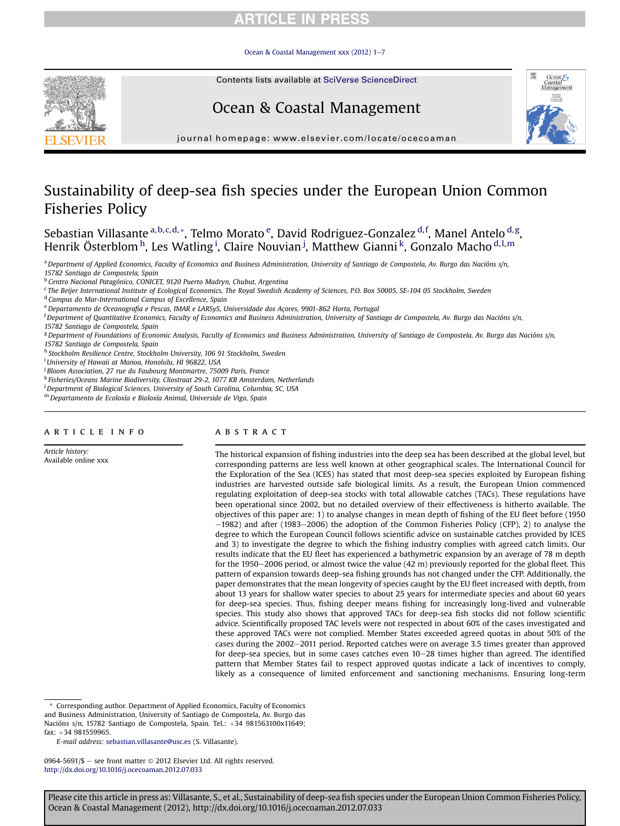# **RTICLE IN PRES**

[Ocean & Coastal Management xxx \(2012\) 1](http://dx.doi.org/10.1016/j.ocecoaman.2012.07.033)-[7](http://dx.doi.org/10.1016/j.ocecoaman.2012.07.033)



Contents lists available at [SciVerse ScienceDirect](www.sciencedirect.com/science/journal/09645691)

# Ocean & Coastal Management



journal homepage: [www.elsevier.com/locate/ocecoaman](http://www.elsevier.com/locate/ocecoaman)

# Sustainability of deep-sea fish species under the European Union Common Fisheries Policy

Sebastian Villasante <sup>[a,b](#page-0-0),[c,d](#page-0-0),</sup>[\\*](#page-0-0), T[e](#page-0-0)lmo Morato <sup>e</sup>, Davi[d](#page-0-0) Rodriguez-Gonzalez <sup>d, [f](#page-0-0)</sup>, Manel Antelo <sup>d, [g](#page-0-0)</sup>, Henrik Österblom <sup>[h](#page-0-0)</sup>, Les Watl[i](#page-0-0)ng <sup>i</sup>, Claire Nouvian <sup>[j](#page-0-0)</sup>, Matthew Gianni <sup>[k](#page-0-0)</sup>, Gonzalo Macho <sup>[d](#page-0-0), [l](#page-0-0), [m](#page-0-0)</sup>

a Department of Applied Economics, Faculty of Economics and Business Administration, University of Santiago de Compostela, Av. Burgo das Nacións s/n, 15782 Santiago de Compostela, Spain

<sup>c</sup> The Beijer International Institute of Ecological Economics, The Royal Swedish Academy of Sciences, P.O. Box 50005, SE-104 05 Stockholm, Sweden

e Departamento de Oceanografia e Pescas, IMAR e LARSyS, Universidade dos Acores, 9901-862 Horta, Portugal

f Department of Quantitative Economics, Faculty of Economics and Business Administration, University of Santiago de Compostela, Av. Burgo das Nacións s/n,

15782 Santiago de Compostela, Spain

<sup>g</sup> Department of Foundations of Economic Analysis, Faculty of Economics and Business Administration, University of Santiago de Compostela, Av. Burgo das Nacións s/n, 15782 Santiago de Compostela, Spain

h Stockholm Resilience Centre, Stockholm University, 106 91 Stockholm, Sweden

<sup>i</sup> University of Hawaii at Manoa, Honolulu, HI 96822, USA

<sup>k</sup> Fisheries/Oceans Marine Biodiversity, Cliostraat 29-2, 1077 KB Amsterdam, Netherlands

<sup>1</sup> Department of Biological Sciences, University of South Carolina, Columbia, SC, USA

<sup>m</sup> Departamento de Ecoloxía e Bioloxía Animal, Universide de Vigo, Spain

### article info

Article history: Available online xxx

### ABSTRACT

The historical expansion of fishing industries into the deep sea has been described at the global level, but corresponding patterns are less well known at other geographical scales. The International Council for the Exploration of the Sea (ICES) has stated that most deep-sea species exploited by European fishing industries are harvested outside safe biological limits. As a result, the European Union commenced regulating exploitation of deep-sea stocks with total allowable catches (TACs). These regulations have been operational since 2002, but no detailed overview of their effectiveness is hitherto available. The objectives of this paper are: 1) to analyse changes in mean depth of fishing of the EU fleet before (1950  $-1982$ ) and after (1983–2006) the adoption of the Common Fisheries Policy (CFP), 2) to analyse the degree to which the European Council follows scientific advice on sustainable catches provided by ICES and 3) to investigate the degree to which the fishing industry complies with agreed catch limits. Our results indicate that the EU fleet has experienced a bathymetric expansion by an average of 78 m depth for the 1950–2006 period, or almost twice the value (42 m) previously reported for the global fleet. This pattern of expansion towards deep-sea fishing grounds has not changed under the CFP. Additionally, the paper demonstrates that the mean longevity of species caught by the EU fleet increased with depth, from about 13 years for shallow water species to about 25 years for intermediate species and about 60 years for deep-sea species. Thus, fishing deeper means fishing for increasingly long-lived and vulnerable species. This study also shows that approved TACs for deep-sea fish stocks did not follow scientific advice. Scientifically proposed TAC levels were not respected in about 60% of the cases investigated and these approved TACs were not complied. Member States exceeded agreed quotas in about 50% of the cases during the 2002-2011 period. Reported catches were on average 3.5 times greater than approved for deep-sea species, but in some cases catches even 10-28 times higher than agreed. The identified pattern that Member States fail to respect approved quotas indicate a lack of incentives to comply, likely as a consequence of limited enforcement and sanctioning mechanisms. Ensuring long-term

<sup>b</sup> Centro Nacional Patagónico, CONICET, 9120 Puerto Madryn, Chubut, Argentina

<sup>d</sup> Campus do Mar-International Campus of Excellence, Spain

<sup>&</sup>lt;sup>j</sup> Bloom Association, 27 rue du Faubourg Montmartre, 75009 Paris, France

<sup>\*</sup> Corresponding author. Department of Applied Economics, Faculty of Economics and Business Administration, University of Santiago de Compostela, Av. Burgo das Nacións s/n, 15782 Santiago de Compostela, Spain. Tel.: +34 981563100x11649; fax: +34 981559965.

E-mail address: [sebastian.villasante@usc.es](mailto:sebastian.villasante@usc.es) (S. Villasante).

<span id="page-0-0"></span><sup>0964-5691/\$ -</sup> see front matter  $\odot$  2012 Elsevier Ltd. All rights reserved. <http://dx.doi.org/10.1016/j.ocecoaman.2012.07.033>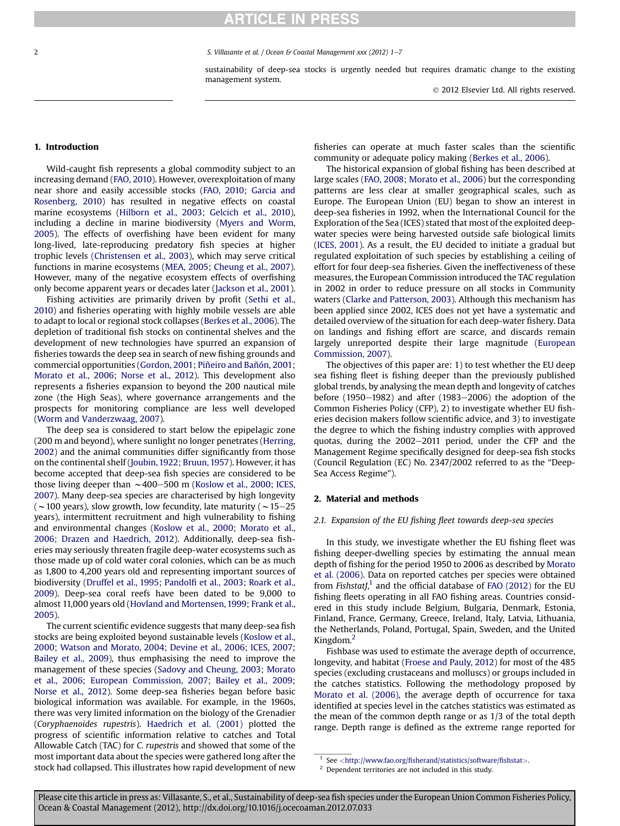# **ARTICLE IN PRESS**

2 S. Villasante et al. / Ocean & Coastal Management xxx (2012) 1-7

sustainability of deep-sea stocks is urgently needed but requires dramatic change to the existing management system.

 $©$  2012 Elsevier Ltd. All rights reserved.

#### 1. Introduction

Wild-caught fish represents a global commodity subject to an increasing demand [\(FAO, 2010\)](#page-6-0). However, overexploitation of many near shore and easily accessible stocks [\(FAO, 2010;](#page-6-0) [Garcia and](#page-6-0) [Rosenberg, 2010\)](#page-6-0) has resulted in negative effects on coastal marine ecosystems ([Hilborn et al., 2003](#page-6-0); [Gelcich et al., 2010\)](#page-6-0), including a decline in marine biodiversity ([Myers and Worm,](#page-6-0) [2005](#page-6-0)). The effects of overfishing have been evident for many long-lived, late-reproducing predatory fish species at higher trophic levels ([Christensen et al., 2003](#page-5-0)), which may serve critical functions in marine ecosystems ([MEA, 2005](#page-6-0); [Cheung et al., 2007\)](#page-5-0). However, many of the negative ecosystem effects of overfishing only become apparent years or decades later ([Jackson et al., 2001\)](#page-6-0).

Fishing activities are primarily driven by profit ([Sethi et al.,](#page-6-0) [2010](#page-6-0)) and fisheries operating with highly mobile vessels are able to adapt to local or regional stock collapses [\(Berkes et al., 2006](#page-5-0)). The depletion of traditional fish stocks on continental shelves and the development of new technologies have spurred an expansion of fisheries towards the deep sea in search of new fishing grounds and commercial opportunities ([Gordon, 2001;](#page-6-0) [Piñeiro and Bañón, 2001](#page-6-0); [Morato et al., 2006](#page-6-0); [Norse et al., 2012](#page-6-0)). This development also represents a fisheries expansion to beyond the 200 nautical mile zone (the High Seas), where governance arrangements and the prospects for monitoring compliance are less well developed ([Worm and Vanderzwaag, 2007](#page-6-0)).

The deep sea is considered to start below the epipelagic zone (200 m and beyond), where sunlight no longer penetrates ([Herring,](#page-6-0) [2002](#page-6-0)) and the animal communities differ significantly from those on the continental shelf ([Joubin, 1922](#page-6-0); [Bruun, 1957](#page-5-0)). However, it has become accepted that deep-sea fish species are considered to be those living deeper than  $\sim$  400–500 m ([Koslow et al., 2000](#page-6-0); [ICES,](#page-6-0) [2007\)](#page-6-0). Many deep-sea species are characterised by high longevity ( $\sim$ 100 years), slow growth, low fecundity, late maturity ( $\sim$ 15–25 years), intermittent recruitment and high vulnerability to fishing and environmental changes ([Koslow et al., 2000](#page-6-0); [Morato et al.,](#page-6-0) [2006](#page-6-0); [Drazen and Haedrich, 2012](#page-6-0)). Additionally, deep-sea fisheries may seriously threaten fragile deep-water ecosystems such as those made up of cold water coral colonies, which can be as much as 1,800 to 4,200 years old and representing important sources of biodiversity [\(Druffel et al., 1995;](#page-6-0) Pandolfi [et al., 2003;](#page-6-0) [Roark et al.,](#page-6-0) [2009](#page-6-0)). Deep-sea coral reefs have been dated to be 9,000 to almost 11,000 years old ([Hovland and Mortensen, 1999;](#page-6-0) [Frank et al.,](#page-6-0) [2005](#page-6-0)).

<span id="page-1-0"></span>The current scientific evidence suggests that many deep-sea fish stocks are being exploited beyond sustainable levels [\(Koslow et al.,](#page-6-0) [2000](#page-6-0); [Watson and Morato, 2004;](#page-6-0) [Devine et al., 2006](#page-6-0); [ICES, 2007](#page-6-0); [Bailey et al., 2009](#page-5-0)), thus emphasising the need to improve the management of these species ([Sadovy and Cheung, 2003;](#page-6-0) [Morato](#page-6-0) [et al., 2006](#page-6-0); [European Commission, 2007;](#page-6-0) [Bailey et al., 2009](#page-5-0); [Norse et al., 2012\)](#page-6-0). Some deep-sea fisheries began before basic biological information was available. For example, in the 1960s, there was very limited information on the biology of the Grenadier (Coryphaenoides rupestris). [Haedrich et al. \(2001\)](#page-6-0) plotted the progress of scientific information relative to catches and Total Allowable Catch (TAC) for C. rupestris and showed that some of the most important data about the species were gathered long after the stock had collapsed. This illustrates how rapid development of new fisheries can operate at much faster scales than the scientific community or adequate policy making [\(Berkes et al., 2006\)](#page-5-0).

The historical expansion of global fishing has been described at large scales ([FAO, 2008](#page-6-0); [Morato et al., 2006\)](#page-6-0) but the corresponding patterns are less clear at smaller geographical scales, such as Europe. The European Union (EU) began to show an interest in deep-sea fisheries in 1992, when the International Council for the Exploration of the Sea (ICES) stated that most of the exploited deepwater species were being harvested outside safe biological limits ([ICES, 2001](#page-6-0)). As a result, the EU decided to initiate a gradual but regulated exploitation of such species by establishing a ceiling of effort for four deep-sea fisheries. Given the ineffectiveness of these measures, the European Commission introduced the TAC regulation in 2002 in order to reduce pressure on all stocks in Community waters [\(Clarke and Patterson, 2003\)](#page-6-0). Although this mechanism has been applied since 2002, ICES does not yet have a systematic and detailed overview of the situation for each deep-water fishery. Data on landings and fishing effort are scarce, and discards remain largely unreported despite their large magnitude ([European](#page-6-0) [Commission, 2007\)](#page-6-0).

The objectives of this paper are: 1) to test whether the EU deep sea fishing fleet is fishing deeper than the previously published global trends, by analysing the mean depth and longevity of catches before  $(1950-1982)$  and after  $(1983-2006)$  the adoption of the Common Fisheries Policy (CFP), 2) to investigate whether EU fisheries decision makers follow scientific advice, and 3) to investigate the degree to which the fishing industry complies with approved quotas, during the 2002-2011 period, under the CFP and the Management Regime specifically designed for deep-sea fish stocks (Council Regulation (EC) No. 2347/2002 referred to as the "Deep-Sea Access Regime").

#### 2. Material and methods

#### 2.1. Expansion of the EU fishing fleet towards deep-sea species

In this study, we investigate whether the EU fishing fleet was fishing deeper-dwelling species by estimating the annual mean depth of fishing for the period 1950 to 2006 as described by [Morato](#page-6-0) [et al. \(2006\).](#page-6-0) Data on reported catches per species were obtained from FishstatJ,<sup>[1](#page-1-0)</sup> and the official database of [FAO \(2012\)](#page-6-0) for the EU fishing fleets operating in all FAO fishing areas. Countries considered in this study include Belgium, Bulgaria, Denmark, Estonia, Finland, France, Germany, Greece, Ireland, Italy, Latvia, Lithuania, the Netherlands, Poland, Portugal, Spain, Sweden, and the United Kingdom.<sup>2</sup>

Fishbase was used to estimate the average depth of occurrence, longevity, and habitat [\(Froese and Pauly, 2012\)](#page-6-0) for most of the 485 species (excluding crustaceans and molluscs) or groups included in the catches statistics. Following the methodology proposed by [Morato et al. \(2006\),](#page-6-0) the average depth of occurrence for taxa identified at species level in the catches statistics was estimated as the mean of the common depth range or as 1/3 of the total depth range. Depth range is defined as the extreme range reported for

<sup>&</sup>lt;sup>1</sup> See <http://www.fao.org/fi[sherand/statistics/software/](http://www.fao.org/fisherand/statistics/software/fishstat)fishstat>.

 $2$  Dependent territories are not included in this study.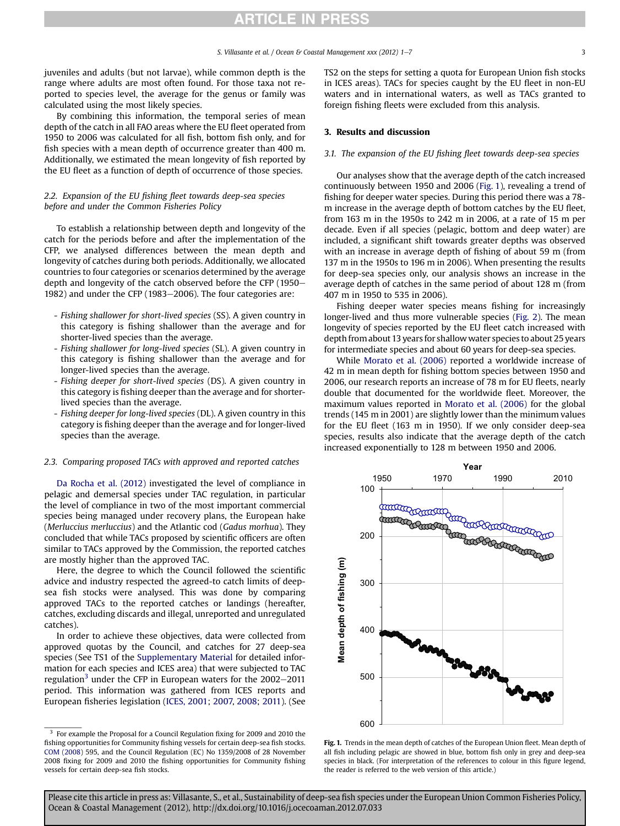juveniles and adults (but not larvae), while common depth is the range where adults are most often found. For those taxa not reported to species level, the average for the genus or family was calculated using the most likely species.

By combining this information, the temporal series of mean depth of the catch in all FAO areas where the EU fleet operated from 1950 to 2006 was calculated for all fish, bottom fish only, and for fish species with a mean depth of occurrence greater than 400 m. Additionally, we estimated the mean longevity of fish reported by the EU fleet as a function of depth of occurrence of those species.

## 2.2. Expansion of the EU fishing fleet towards deep-sea species before and under the Common Fisheries Policy

To establish a relationship between depth and longevity of the catch for the periods before and after the implementation of the CFP, we analysed differences between the mean depth and longevity of catches during both periods. Additionally, we allocated countries to four categories or scenarios determined by the average depth and longevity of the catch observed before the CFP (1950– 1982) and under the CFP (1983 $-$ 2006). The four categories are:

- Fishing shallower for short-lived species (SS). A given country in this category is fishing shallower than the average and for shorter-lived species than the average.
- Fishing shallower for long-lived species (SL). A given country in this category is fishing shallower than the average and for longer-lived species than the average.
- Fishing deeper for short-lived species (DS). A given country in this category is fishing deeper than the average and for shorterlived species than the average.
- Fishing deeper for long-lived species (DL). A given country in this category is fishing deeper than the average and for longer-lived species than the average.

#### 2.3. Comparing proposed TACs with approved and reported catches

[Da Rocha et al. \(2012\)](#page-6-0) investigated the level of compliance in pelagic and demersal species under TAC regulation, in particular the level of compliance in two of the most important commercial species being managed under recovery plans, the European hake (Merluccius merluccius) and the Atlantic cod (Gadus morhua). They concluded that while TACs proposed by scientific officers are often similar to TACs approved by the Commission, the reported catches are mostly higher than the approved TAC.

Here, the degree to which the Council followed the scientific advice and industry respected the agreed-to catch limits of deepsea fish stocks were analysed. This was done by comparing approved TACs to the reported catches or landings (hereafter, catches, excluding discards and illegal, unreported and unregulated catches).

In order to achieve these objectives, data were collected from approved quotas by the Council, and catches for 27 deep-sea species (See TS1 of the Supplementary Material for detailed information for each species and ICES area) that were subjected to TAC regulation<sup>[3](#page-2-0)</sup> under the CFP in European waters for the  $2002-2011$ period. This information was gathered from ICES reports and European fisheries legislation ([ICES, 2001;](#page-6-0) [2007,](#page-6-0) [2008;](#page-6-0) [2011](#page-6-0)). (See TS2 on the steps for setting a quota for European Union fish stocks in ICES areas). TACs for species caught by the EU fleet in non-EU waters and in international waters, as well as TACs granted to foreign fishing fleets were excluded from this analysis.

#### 3. Results and discussion

#### 3.1. The expansion of the EU fishing fleet towards deep-sea species

Our analyses show that the average depth of the catch increased continuously between 1950 and 2006 ([Fig. 1](#page-2-0)), revealing a trend of fishing for deeper water species. During this period there was a 78 m increase in the average depth of bottom catches by the EU fleet, from 163 m in the 1950s to 242 m in 2006, at a rate of 15 m per decade. Even if all species (pelagic, bottom and deep water) are included, a significant shift towards greater depths was observed with an increase in average depth of fishing of about 59 m (from 137 m in the 1950s to 196 m in 2006). When presenting the results for deep-sea species only, our analysis shows an increase in the average depth of catches in the same period of about 128 m (from 407 m in 1950 to 535 in 2006).

Fishing deeper water species means fishing for increasingly longer-lived and thus more vulnerable species ([Fig. 2](#page-3-0)). The mean longevity of species reported by the EU fleet catch increased with depth from about 13 years for shallow water species to about 25 years for intermediate species and about 60 years for deep-sea species.

While [Morato et al. \(2006\)](#page-6-0) reported a worldwide increase of 42 m in mean depth for fishing bottom species between 1950 and 2006, our research reports an increase of 78 m for EU fleets, nearly double that documented for the worldwide fleet. Moreover, the maximum values reported in [Morato et al. \(2006\)](#page-6-0) for the global trends (145 m in 2001) are slightly lower than the minimum values for the EU fleet (163 m in 1950). If we only consider deep-sea species, results also indicate that the average depth of the catch increased exponentially to 128 m between 1950 and 2006.



Fig. 1. Trends in the mean depth of catches of the European Union fleet. Mean depth of all fish including pelagic are showed in blue, bottom fish only in grey and deep-sea species in black. (For interpretation of the references to colour in this figure legend, the reader is referred to the web version of this article.)

<span id="page-2-0"></span><sup>&</sup>lt;sup>3</sup> For example the Proposal for a Council Regulation fixing for 2009 and 2010 the fishing opportunities for Community fishing vessels for certain deep-sea fish stocks. [COM \(2008](#page-6-0)) 595, and the Council Regulation (EC) No 1359/2008 of 28 November 2008 fixing for 2009 and 2010 the fishing opportunities for Community fishing vessels for certain deep-sea fish stocks.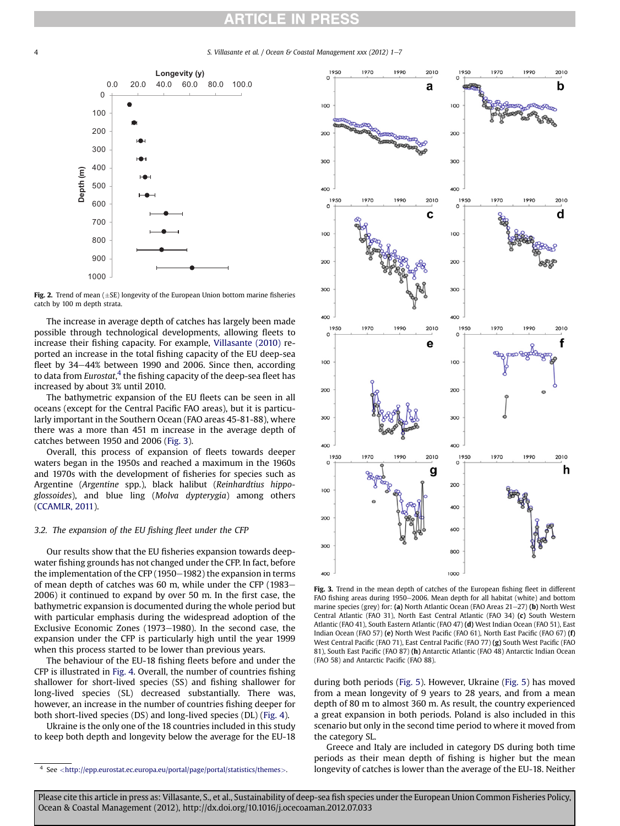# **RTICLE IN PRES:**

5. Villasante et al. / Ocean & Coastal Management xxx (2012) 1-7



Fig. 2. Trend of mean  $(\pm SE)$  longevity of the European Union bottom marine fisheries catch by 100 m depth strata.

The increase in average depth of catches has largely been made possible through technological developments, allowing fleets to increase their fishing capacity. For example, [Villasante \(2010\)](#page-6-0) reported an increase in the total fishing capacity of the EU deep-sea fleet by  $34-44\%$  between 1990 and 2006. Since then, according to data from Eurostat,<sup>[4](#page-3-0)</sup> the fishing capacity of the deep-sea fleet has increased by about 3% until 2010.

The bathymetric expansion of the EU fleets can be seen in all oceans (except for the Central Pacific FAO areas), but it is particularly important in the Southern Ocean (FAO areas 45-81-88), where there was a more than 451 m increase in the average depth of catches between 1950 and 2006 ([Fig. 3\)](#page-3-0).

Overall, this process of expansion of fleets towards deeper waters began in the 1950s and reached a maximum in the 1960s and 1970s with the development of fisheries for species such as Argentine (Argentine spp.), black halibut (Reinhardtius hippoglossoides), and blue ling (Molva dypterygia) among others ([CCAMLR, 2011](#page-6-0)).

#### 3.2. The expansion of the EU fishing fleet under the CFP

Our results show that the EU fisheries expansion towards deepwater fishing grounds has not changed under the CFP. In fact, before the implementation of the CFP (1950 $-$ 1982) the expansion in terms of mean depth of catches was 60 m, while under the CFP (1983 $-$ 2006) it continued to expand by over 50 m. In the first case, the bathymetric expansion is documented during the whole period but with particular emphasis during the widespread adoption of the Exclusive Economic Zones (1973-1980). In the second case, the expansion under the CFP is particularly high until the year 1999 when this process started to be lower than previous years.

The behaviour of the EU-18 fishing fleets before and under the CFP is illustrated in [Fig. 4](#page-4-0). Overall, the number of countries fishing shallower for short-lived species (SS) and fishing shallower for long-lived species (SL) decreased substantially. There was, however, an increase in the number of countries fishing deeper for both short-lived species (DS) and long-lived species (DL) [\(Fig. 4](#page-4-0)).

Ukraine is the only one of the 18 countries included in this study to keep both depth and longevity below the average for the EU-18



Fig. 3. Trend in the mean depth of catches of the European fishing fleet in different FAO fishing areas during 1950–2006. Mean depth for all habitat (white) and bottom marine species (grey) for: (a) North Atlantic Ocean (FAO Areas  $21-27$ ) (b) North West Central Atlantic (FAO 31), North East Central Atlantic (FAO 34) (c) South Western Atlantic (FAO 41), South Eastern Atlantic (FAO 47) (d) West Indian Ocean (FAO 51), East Indian Ocean (FAO 57) (e) North West Pacific (FAO 61), North East Pacific (FAO 67) (f) West Central Pacific (FAO 71), East Central Pacific (FAO 77) (g) South West Pacific (FAO 81), South East Pacific (FAO 87) (h) Antarctic Atlantic (FAO 48) Antarctic Indian Ocean (FAO 58) and Antarctic Pacific (FAO 88).

during both periods ([Fig. 5](#page-4-0)). However, Ukraine [\(Fig. 5\)](#page-4-0) has moved from a mean longevity of 9 years to 28 years, and from a mean depth of 80 m to almost 360 m. As result, the country experienced a great expansion in both periods. Poland is also included in this scenario but only in the second time period to where it moved from the category SL.

Greece and Italy are included in category DS during both time periods as their mean depth of fishing is higher but the mean longevity of catches is lower than the average of the EU-18. Neither

<span id="page-3-0"></span> $^4\,$  See  $<$ <http://epp.eurostat.ec.europa.eu/portal/page/portal/statistics/themes>>.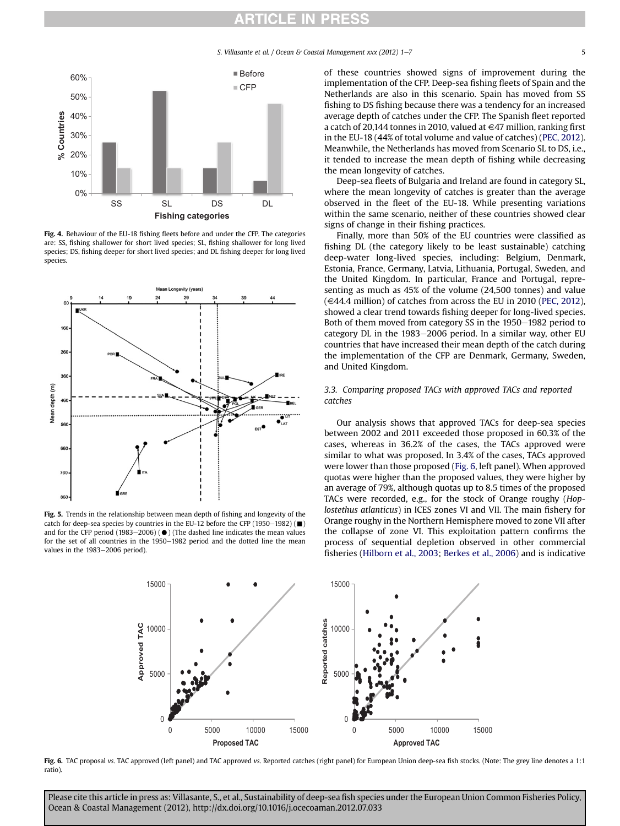# **CLE IN PRES**

S. Villasante et al. / Ocean & Coastal Management xxx (2012)  $1-7$  5



Fig. 4. Behaviour of the EU-18 fishing fleets before and under the CFP. The categories are: SS, fishing shallower for short lived species; SL, fishing shallower for long lived species; DS, fishing deeper for short lived species; and DL fishing deeper for long lived species.



Fig. 5. Trends in the relationship between mean depth of fishing and longevity of the catch for deep-sea species by countries in the EU-12 before the CFP (1950–1982) ( $\blacksquare$ ) and for the CFP period (1983-2006) ( $\bullet$ ) (The dashed line indicates the mean values for the set of all countries in the 1950-1982 period and the dotted line the mean values in the 1983-2006 period).

of these countries showed signs of improvement during the implementation of the CFP. Deep-sea fishing fleets of Spain and the Netherlands are also in this scenario. Spain has moved from SS fishing to DS fishing because there was a tendency for an increased average depth of catches under the CFP. The Spanish fleet reported a catch of 20,144 tonnes in 2010, valued at  $\in$  47 million, ranking first in the EU-18 (44% of total volume and value of catches) [\(PEC, 2012\)](#page-6-0). Meanwhile, the Netherlands has moved from Scenario SL to DS, i.e., it tended to increase the mean depth of fishing while decreasing the mean longevity of catches.

Deep-sea fleets of Bulgaria and Ireland are found in category SL, where the mean longevity of catches is greater than the average observed in the fleet of the EU-18. While presenting variations within the same scenario, neither of these countries showed clear signs of change in their fishing practices.

Finally, more than 50% of the EU countries were classified as fishing DL (the category likely to be least sustainable) catching deep-water long-lived species, including: Belgium, Denmark, Estonia, France, Germany, Latvia, Lithuania, Portugal, Sweden, and the United Kingdom. In particular, France and Portugal, representing as much as 45% of the volume (24,500 tonnes) and value  $(€44.4$  million) of catches from across the EU in 2010 ([PEC, 2012\)](#page-6-0), showed a clear trend towards fishing deeper for long-lived species. Both of them moved from category SS in the 1950-1982 period to category DL in the 1983-2006 period. In a similar way, other EU countries that have increased their mean depth of the catch during the implementation of the CFP are Denmark, Germany, Sweden, and United Kingdom.

## 3.3. Comparing proposed TACs with approved TACs and reported catches

Our analysis shows that approved TACs for deep-sea species between 2002 and 2011 exceeded those proposed in 60.3% of the cases, whereas in 36.2% of the cases, the TACs approved were similar to what was proposed. In 3.4% of the cases, TACs approved were lower than those proposed [\(Fig. 6,](#page-4-0) left panel). When approved quotas were higher than the proposed values, they were higher by an average of 79%, although quotas up to 8.5 times of the proposed TACs were recorded, e.g., for the stock of Orange roughy (Hoplostethus atlanticus) in ICES zones VI and VII. The main fishery for Orange roughy in the Northern Hemisphere moved to zone VII after the collapse of zone VI. This exploitation pattern confirms the process of sequential depletion observed in other commercial fisheries ([Hilborn et al., 2003](#page-6-0); [Berkes et al., 2006](#page-5-0)) and is indicative



<span id="page-4-0"></span>Fig. 6. TAC proposal vs. TAC approved (left panel) and TAC approved vs. Reported catches (right panel) for European Union deep-sea fish stocks. (Note: The grey line denotes a 1:1 ratio).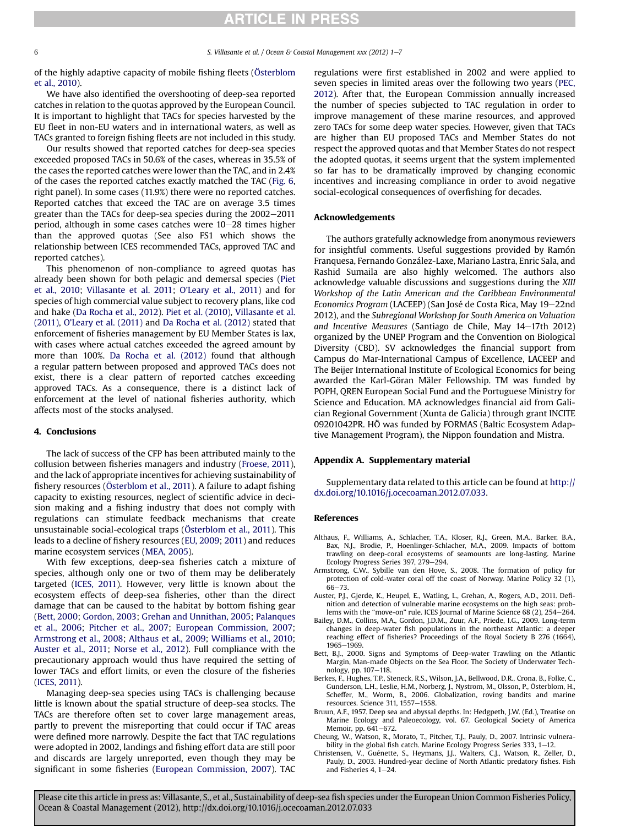of the highly adaptive capacity of mobile fishing fleets [\(Österblom](#page-6-0) [et al., 2010\)](#page-6-0).

We have also identified the overshooting of deep-sea reported catches in relation to the quotas approved by the European Council. It is important to highlight that TACs for species harvested by the EU fleet in non-EU waters and in international waters, as well as TACs granted to foreign fishing fleets are not included in this study.

Our results showed that reported catches for deep-sea species exceeded proposed TACs in 50.6% of the cases, whereas in 35.5% of the cases the reported catches were lower than the TAC, and in 2.4% of the cases the reported catches exactly matched the TAC ([Fig. 6,](#page-4-0) right panel). In some cases (11.9%) there were no reported catches. Reported catches that exceed the TAC are on average 3.5 times greater than the TACs for deep-sea species during the  $2002-2011$ period, although in some cases catches were  $10-28$  times higher than the approved quotas (See also FS1 which shows the relationship between ICES recommended TACs, approved TAC and reported catches).

This phenomenon of non-compliance to agreed quotas has already been shown for both pelagic and demersal species [\(Piet](#page-6-0) [et al., 2010;](#page-6-0) [Villasante et al. 2011;](#page-6-0) O'[Leary et al., 2011](#page-6-0)) and for species of high commercial value subject to recovery plans, like cod and hake [\(Da Rocha et al., 2012](#page-6-0)). [Piet et al. \(2010\),](#page-6-0) [Villasante et al.](#page-6-0) [\(2011\),](#page-6-0) O'[Leary et al. \(2011\)](#page-6-0) and [Da Rocha et al. \(2012\)](#page-6-0) stated that enforcement of fisheries management by EU Member States is lax, with cases where actual catches exceeded the agreed amount by more than 100%. [Da Rocha et al. \(2012\)](#page-6-0) found that although a regular pattern between proposed and approved TACs does not exist, there is a clear pattern of reported catches exceeding approved TACs. As a consequence, there is a distinct lack of enforcement at the level of national fisheries authority, which affects most of the stocks analysed.

## 4. Conclusions

The lack of success of the CFP has been attributed mainly to the collusion between fisheries managers and industry [\(Froese, 2011\)](#page-6-0), and the lack of appropriate incentives for achieving sustainability of fishery resources [\(Österblom et al., 2011\)](#page-6-0). A failure to adapt fishing capacity to existing resources, neglect of scientific advice in decision making and a fishing industry that does not comply with regulations can stimulate feedback mechanisms that create unsustainable social-ecological traps [\(Österblom et al., 2011\)](#page-6-0). This leads to a decline of fishery resources [\(EU, 2009;](#page-6-0) [2011\)](#page-6-0) and reduces marine ecosystem services ([MEA, 2005\)](#page-6-0).

With few exceptions, deep-sea fisheries catch a mixture of species, although only one or two of them may be deliberately targeted ([ICES, 2011](#page-6-0)). However, very little is known about the ecosystem effects of deep-sea fisheries, other than the direct damage that can be caused to the habitat by bottom fishing gear ([Bett, 2000;](#page-5-0) [Gordon, 2003](#page-6-0); [Grehan and Unnithan, 2005;](#page-6-0) [Palanques](#page-6-0) [et al., 2006](#page-6-0); [Pitcher et al., 2007;](#page-6-0) [European Commission, 2007](#page-6-0); [Armstrong et al., 2008](#page-5-0); [Althaus et al., 2009;](#page-5-0) [Williams et al., 2010](#page-6-0); [Auster et al., 2011](#page-5-0); [Norse et al., 2012](#page-6-0)). Full compliance with the precautionary approach would thus have required the setting of lower TACs and effort limits, or even the closure of the fisheries ([ICES, 2011](#page-6-0)).

<span id="page-5-0"></span>Managing deep-sea species using TACs is challenging because little is known about the spatial structure of deep-sea stocks. The TACs are therefore often set to cover large management areas, partly to prevent the misreporting that could occur if TAC areas were defined more narrowly. Despite the fact that TAC regulations were adopted in 2002, landings and fishing effort data are still poor and discards are largely unreported, even though they may be significant in some fisheries ([European Commission, 2007\)](#page-6-0). TAC regulations were first established in 2002 and were applied to seven species in limited areas over the following two years ([PEC,](#page-6-0) [2012](#page-6-0)). After that, the European Commission annually increased the number of species subjected to TAC regulation in order to improve management of these marine resources, and approved zero TACs for some deep water species. However, given that TACs are higher than EU proposed TACs and Member States do not respect the approved quotas and that Member States do not respect the adopted quotas, it seems urgent that the system implemented so far has to be dramatically improved by changing economic incentives and increasing compliance in order to avoid negative social-ecological consequences of overfishing for decades.

#### Acknowledgements

The authors gratefully acknowledge from anonymous reviewers for insightful comments. Useful suggestions provided by Ramón Franquesa, Fernando González-Laxe, Mariano Lastra, Enric Sala, and Rashid Sumaila are also highly welcomed. The authors also acknowledge valuable discussions and suggestions during the XIII Workshop of the Latin American and the Caribbean Environmental Economics Program (LACEEP) (San José de Costa Rica, May 19-22nd 2012), and the Subregional Workshop for South America on Valuation and Incentive Measures (Santiago de Chile, May 14-17th 2012) organized by the UNEP Program and the Convention on Biological Diversity (CBD). SV acknowledges the financial support from Campus do Mar-International Campus of Excellence, LACEEP and The Beijer International Institute of Ecological Economics for being awarded the Karl-Göran Mäler Fellowship. TM was funded by POPH, QREN European Social Fund and the Portuguese Ministry for Science and Education. MA acknowledges financial aid from Galician Regional Government (Xunta de Galicia) through grant INCITE 09201042PR. HÖ was funded by FORMAS (Baltic Ecosystem Adaptive Management Program), the Nippon foundation and Mistra.

### Appendix A. Supplementary material

Supplementary data related to this article can be found at [http://](http://dx.doi.org/10.1016/j.ocecoaman.2012.07.033) [dx.doi.org/10.1016/j.ocecoaman.2012.07.033.](http://dx.doi.org/10.1016/j.ocecoaman.2012.07.033)

### References

- Althaus, F., Williams, A., Schlacher, T.A., Kloser, R.J., Green, M.A., Barker, B.A., Bax, N.J., Brodie, P., Hoenlinger-Schlacher, M.A., 2009. Impacts of bottom trawling on deep-coral ecosystems of seamounts are long-lasting. Marine Ecology Progress Series 397, 279-294.
- Armstrong, C.W., Sybille van den Hove, S., 2008. The formation of policy for protection of cold-water coral off the coast of Norway. Marine Policy 32 (1), 66-73.
- Auster, P.J., Gjerde, K., Heupel, E., Watling, L., Grehan, A., Rogers, A.D., 2011. Definition and detection of vulnerable marine ecosystems on the high seas: problems with the "move-on" rule. ICES Journal of Marine Science  $68(2)$ ,  $254-264$ .
- Bailey, D.M., Collins, M.A., Gordon, J.D.M., Zuur, A.F., Priede, I.G., 2009. Long-term changes in deep-water fish populations in the northeast Atlantic: a deeper reaching effect of fisheries? Proceedings of the Royal Society B 276 (1664), 1965-1969.
- Bett, B.J., 2000. Signs and Symptoms of Deep-water Trawling on the Atlantic Margin, Man-made Objects on the Sea Floor. The Society of Underwater Technology, pp. 107-118.
- Berkes, F., Hughes, T.P., Steneck, R.S., Wilson, J.A., Bellwood, D.R., Crona, B., Folke, C., Gunderson, L.H., Leslie, H.M., Norberg, J., Nystrom, M., Olsson, P., Österblom, H., Scheffer, M., Worm, B., 2006. Globalization, roving bandits and marine resources. Science 311, 1557-1558.
- Bruun, A.F., 1957. Deep sea and abyssal depths. In: Hedgpeth, J.W. (Ed.), Treatise on Marine Ecology and Paleoecology, vol. 67. Geological Society of America Memoir, pp. 641-672.
- Cheung, W., Watson, R., Morato, T., Pitcher, T.J., Pauly, D., 2007. Intrinsic vulnerability in the global fish catch. Marine Ecology Progress Series 333, 1-12.
- Christensen, V., Guénette, S., Heymans, J.J., Walters, C.J., Watson, R., Zeller, D., Pauly, D., 2003. Hundred-year decline of North Atlantic predatory fishes. Fish and Fisheries 4,  $1-24$ .